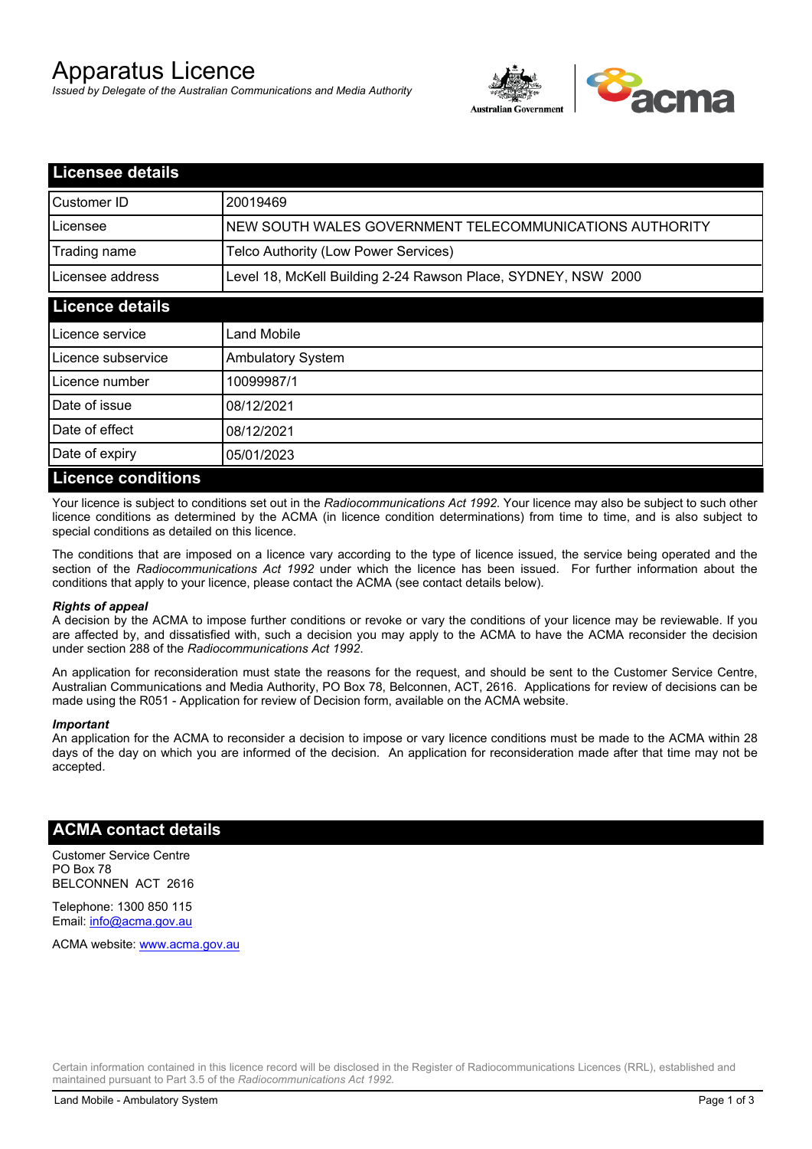# Apparatus Licence

*Issued by Delegate of the Australian Communications and Media Authority*



| <b>Licensee details</b>   |                                                               |  |
|---------------------------|---------------------------------------------------------------|--|
| Customer ID               | 20019469                                                      |  |
| Licensee                  | NEW SOUTH WALES GOVERNMENT TELECOMMUNICATIONS AUTHORITY       |  |
| Trading name              | Telco Authority (Low Power Services)                          |  |
| Licensee address          | Level 18, McKell Building 2-24 Rawson Place, SYDNEY, NSW 2000 |  |
| <b>Licence details</b>    |                                                               |  |
| l Licence service         | Land Mobile                                                   |  |
| Licence subservice        | <b>Ambulatory System</b>                                      |  |
| Licence number            | 10099987/1                                                    |  |
| Date of issue             | 08/12/2021                                                    |  |
| Date of effect            | 08/12/2021                                                    |  |
| Date of expiry            | 05/01/2023                                                    |  |
| <b>Licence conditions</b> |                                                               |  |

Your licence is subject to conditions set out in the *Radiocommunications Act 1992*. Your licence may also be subject to such other licence conditions as determined by the ACMA (in licence condition determinations) from time to time, and is also subject to special conditions as detailed on this licence.

The conditions that are imposed on a licence vary according to the type of licence issued, the service being operated and the section of the *Radiocommunications Act 1992* under which the licence has been issued. For further information about the conditions that apply to your licence, please contact the ACMA (see contact details below).

### *Rights of appeal*

A decision by the ACMA to impose further conditions or revoke or vary the conditions of your licence may be reviewable. If you are affected by, and dissatisfied with, such a decision you may apply to the ACMA to have the ACMA reconsider the decision under section 288 of the *Radiocommunications Act 1992*.

An application for reconsideration must state the reasons for the request, and should be sent to the Customer Service Centre, Australian Communications and Media Authority, PO Box 78, Belconnen, ACT, 2616. Applications for review of decisions can be made using the R051 - Application for review of Decision form, available on the ACMA website.

#### *Important*

An application for the ACMA to reconsider a decision to impose or vary licence conditions must be made to the ACMA within 28 days of the day on which you are informed of the decision. An application for reconsideration made after that time may not be accepted.

### **ACMA contact details**

Customer Service Centre PO Box 78 BELCONNEN ACT 2616

Telephone: 1300 850 115 Email: info@acma.gov.au

ACMA website: www.acma.gov.au

Certain information contained in this licence record will be disclosed in the Register of Radiocommunications Licences (RRL), established and maintained pursuant to Part 3.5 of the *Radiocommunications Act 1992.*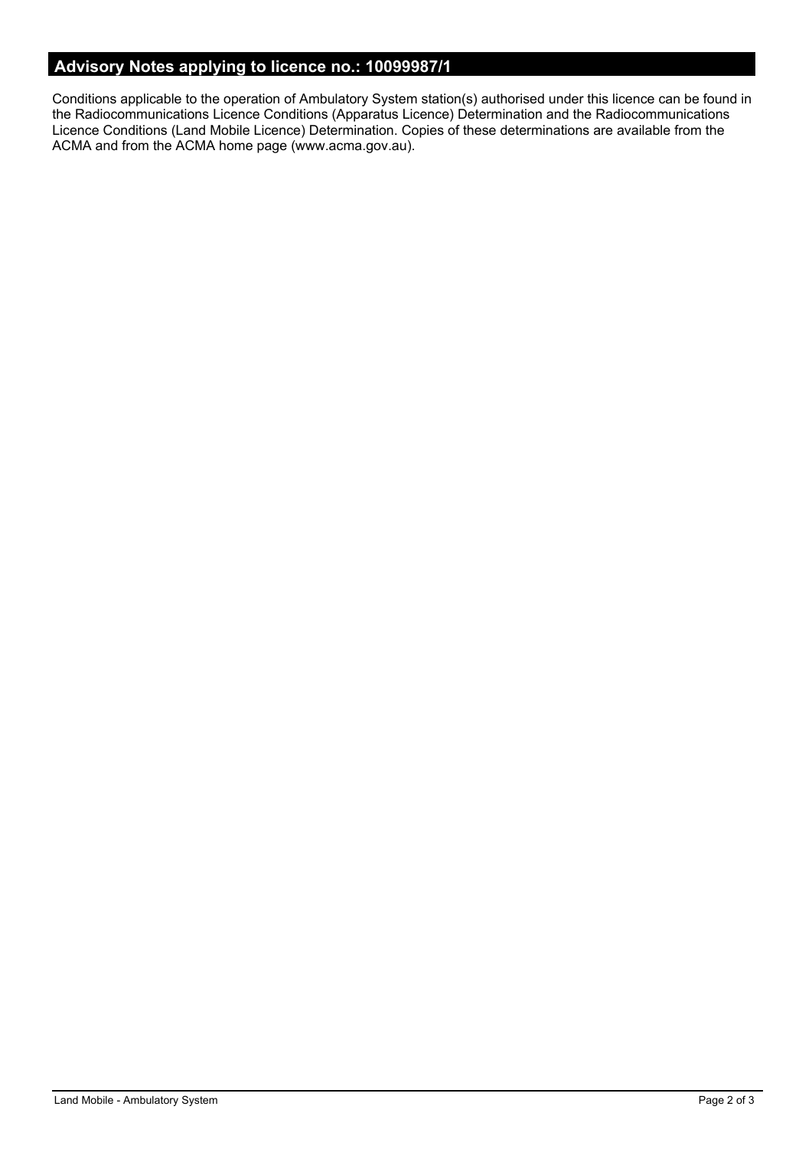# **Advisory Notes applying to licence no.: 10099987/1**

Conditions applicable to the operation of Ambulatory System station(s) authorised under this licence can be found in the Radiocommunications Licence Conditions (Apparatus Licence) Determination and the Radiocommunications Licence Conditions (Land Mobile Licence) Determination. Copies of these determinations are available from the ACMA and from the ACMA home page (www.acma.gov.au).